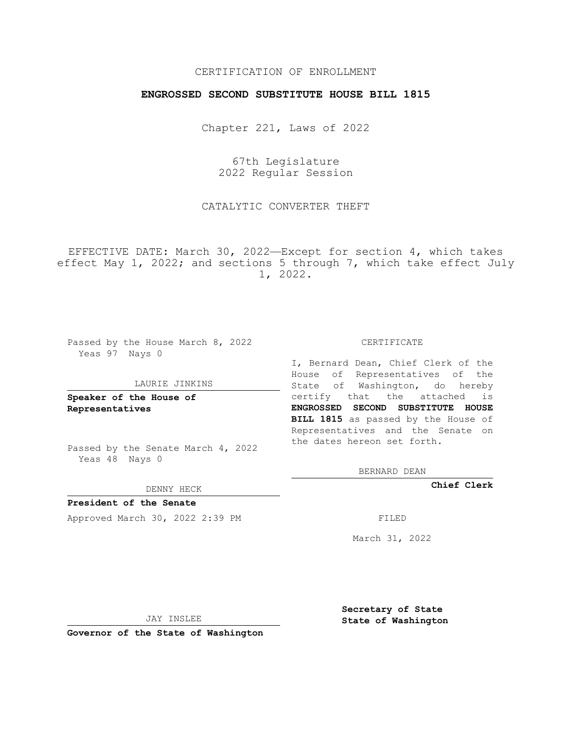## CERTIFICATION OF ENROLLMENT

## **ENGROSSED SECOND SUBSTITUTE HOUSE BILL 1815**

Chapter 221, Laws of 2022

67th Legislature 2022 Regular Session

CATALYTIC CONVERTER THEFT

EFFECTIVE DATE: March 30, 2022—Except for section 4, which takes effect May 1, 2022; and sections 5 through 7, which take effect July 1, 2022.

Passed by the House March 8, 2022 Yeas 97 Nays 0

#### LAURIE JINKINS

**Speaker of the House of Representatives**

Passed by the Senate March 4, 2022 Yeas 48 Nays 0

DENNY HECK

**President of the Senate** Approved March 30, 2022 2:39 PM

CERTIFICATE

I, Bernard Dean, Chief Clerk of the House of Representatives of the State of Washington, do hereby certify that the attached is **ENGROSSED SECOND SUBSTITUTE HOUSE BILL 1815** as passed by the House of Representatives and the Senate on the dates hereon set forth.

BERNARD DEAN

**Chief Clerk**

March 31, 2022

JAY INSLEE

**Governor of the State of Washington**

**Secretary of State State of Washington**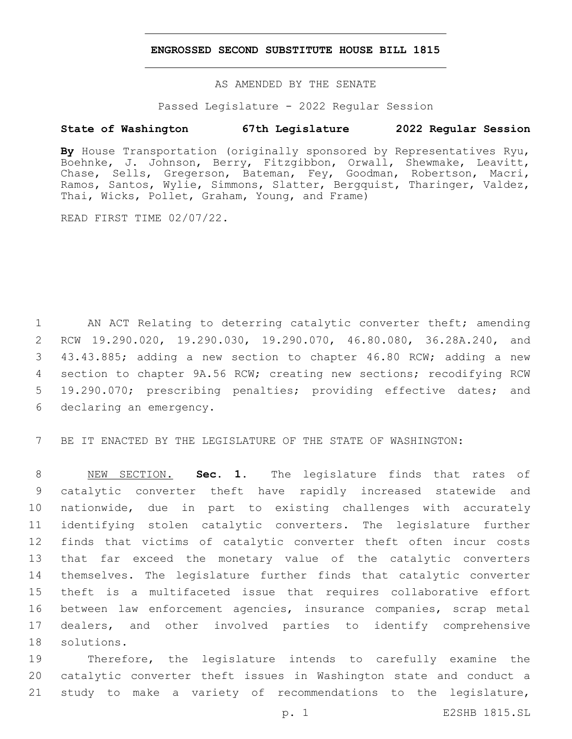### **ENGROSSED SECOND SUBSTITUTE HOUSE BILL 1815**

AS AMENDED BY THE SENATE

Passed Legislature - 2022 Regular Session

# **State of Washington 67th Legislature 2022 Regular Session**

**By** House Transportation (originally sponsored by Representatives Ryu, Boehnke, J. Johnson, Berry, Fitzgibbon, Orwall, Shewmake, Leavitt, Chase, Sells, Gregerson, Bateman, Fey, Goodman, Robertson, Macri, Ramos, Santos, Wylie, Simmons, Slatter, Bergquist, Tharinger, Valdez, Thai, Wicks, Pollet, Graham, Young, and Frame)

READ FIRST TIME 02/07/22.

1 AN ACT Relating to deterring catalytic converter theft; amending 2 RCW 19.290.020, 19.290.030, 19.290.070, 46.80.080, 36.28A.240, and 3 43.43.885; adding a new section to chapter 46.80 RCW; adding a new 4 section to chapter 9A.56 RCW; creating new sections; recodifying RCW 5 19.290.070; prescribing penalties; providing effective dates; and 6 declaring an emergency.

7 BE IT ENACTED BY THE LEGISLATURE OF THE STATE OF WASHINGTON:

 NEW SECTION. **Sec. 1.** The legislature finds that rates of catalytic converter theft have rapidly increased statewide and nationwide, due in part to existing challenges with accurately identifying stolen catalytic converters. The legislature further finds that victims of catalytic converter theft often incur costs that far exceed the monetary value of the catalytic converters themselves. The legislature further finds that catalytic converter theft is a multifaceted issue that requires collaborative effort between law enforcement agencies, insurance companies, scrap metal dealers, and other involved parties to identify comprehensive solutions.

19 Therefore, the legislature intends to carefully examine the 20 catalytic converter theft issues in Washington state and conduct a 21 study to make a variety of recommendations to the legislature,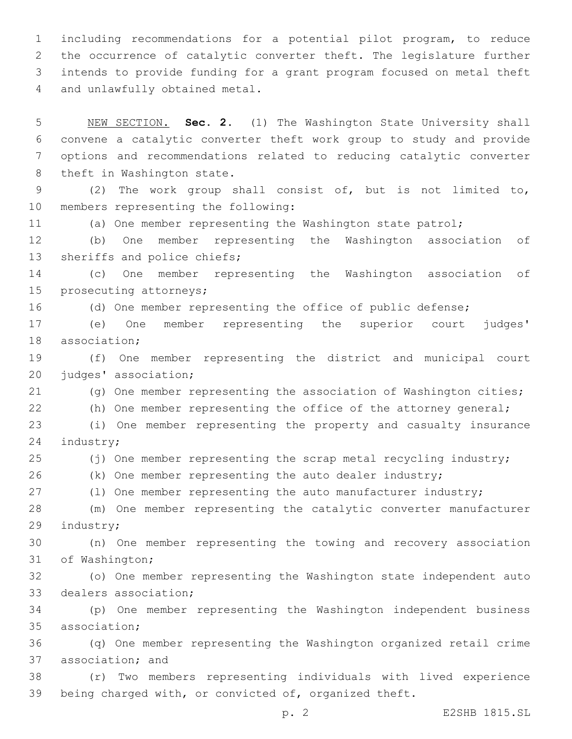including recommendations for a potential pilot program, to reduce the occurrence of catalytic converter theft. The legislature further intends to provide funding for a grant program focused on metal theft 4 and unlawfully obtained metal.

 NEW SECTION. **Sec. 2.** (1) The Washington State University shall convene a catalytic converter theft work group to study and provide options and recommendations related to reducing catalytic converter theft in Washington state. (2) The work group shall consist of, but is not limited to, 10 members representing the following: (a) One member representing the Washington state patrol; (b) One member representing the Washington association of 13 sheriffs and police chiefs; (c) One member representing the Washington association of 15 prosecuting attorneys; (d) One member representing the office of public defense; (e) One member representing the superior court judges' 18 association: (f) One member representing the district and municipal court 20 judges' association; (g) One member representing the association of Washington cities; (h) One member representing the office of the attorney general; (i) One member representing the property and casualty insurance 24 industry; (j) One member representing the scrap metal recycling industry; (k) One member representing the auto dealer industry; 27 (1) One member representing the auto manufacturer industry; (m) One member representing the catalytic converter manufacturer 29 industry; (n) One member representing the towing and recovery association 31 of Washington; (o) One member representing the Washington state independent auto 33 dealers association; (p) One member representing the Washington independent business 35 association; (q) One member representing the Washington organized retail crime 37 association; and (r) Two members representing individuals with lived experience being charged with, or convicted of, organized theft.

p. 2 E2SHB 1815.SL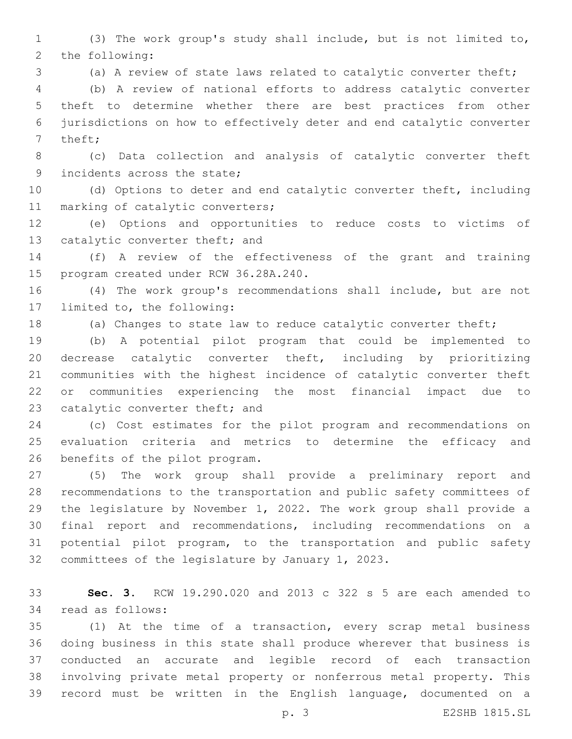(3) The work group's study shall include, but is not limited to, 2 the following:

(a) A review of state laws related to catalytic converter theft;

 (b) A review of national efforts to address catalytic converter theft to determine whether there are best practices from other jurisdictions on how to effectively deter and end catalytic converter 7 theft;

 (c) Data collection and analysis of catalytic converter theft 9 incidents across the state;

 (d) Options to deter and end catalytic converter theft, including 11 marking of catalytic converters;

 (e) Options and opportunities to reduce costs to victims of 13 catalytic converter theft; and

 (f) A review of the effectiveness of the grant and training 15 program created under RCW 36.28A.240.

 (4) The work group's recommendations shall include, but are not 17 limited to, the following:

(a) Changes to state law to reduce catalytic converter theft;

 (b) A potential pilot program that could be implemented to decrease catalytic converter theft, including by prioritizing communities with the highest incidence of catalytic converter theft or communities experiencing the most financial impact due to 23 catalytic converter theft; and

 (c) Cost estimates for the pilot program and recommendations on evaluation criteria and metrics to determine the efficacy and 26 benefits of the pilot program.

 (5) The work group shall provide a preliminary report and recommendations to the transportation and public safety committees of the legislature by November 1, 2022. The work group shall provide a final report and recommendations, including recommendations on a potential pilot program, to the transportation and public safety 32 committees of the legislature by January  $1, 2023$ .

 **Sec. 3.** RCW 19.290.020 and 2013 c 322 s 5 are each amended to 34 read as follows:

 (1) At the time of a transaction, every scrap metal business doing business in this state shall produce wherever that business is conducted an accurate and legible record of each transaction involving private metal property or nonferrous metal property. This record must be written in the English language, documented on a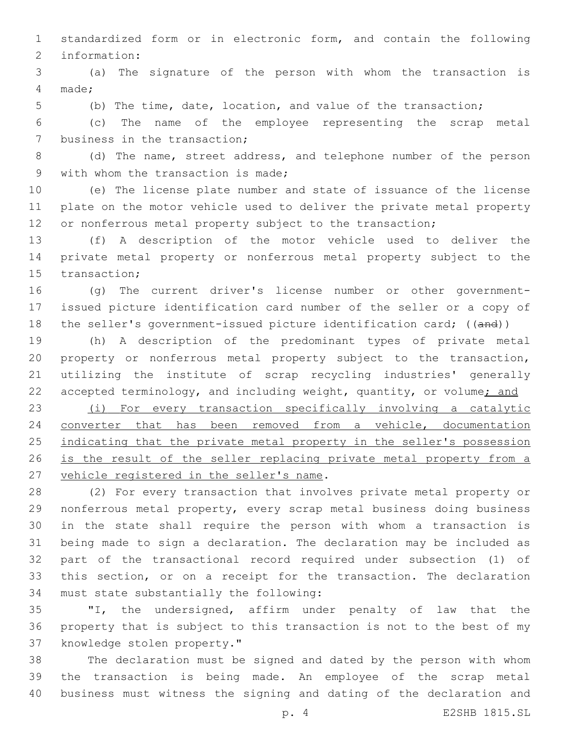standardized form or in electronic form, and contain the following 2 information:

 (a) The signature of the person with whom the transaction is made;4

(b) The time, date, location, and value of the transaction;

 (c) The name of the employee representing the scrap metal 7 business in the transaction;

 (d) The name, street address, and telephone number of the person 9 with whom the transaction is made;

 (e) The license plate number and state of issuance of the license plate on the motor vehicle used to deliver the private metal property 12 or nonferrous metal property subject to the transaction;

 (f) A description of the motor vehicle used to deliver the private metal property or nonferrous metal property subject to the 15 transaction;

 (g) The current driver's license number or other government- issued picture identification card number of the seller or a copy of 18 the seller's government-issued picture identification card; ((and))

 (h) A description of the predominant types of private metal property or nonferrous metal property subject to the transaction, utilizing the institute of scrap recycling industries' generally 22 accepted terminology, and including weight, quantity, or volume; and

 (i) For every transaction specifically involving a catalytic converter that has been removed from a vehicle, documentation 25 indicating that the private metal property in the seller's possession 26 is the result of the seller replacing private metal property from a 27 vehicle registered in the seller's name.

 (2) For every transaction that involves private metal property or nonferrous metal property, every scrap metal business doing business in the state shall require the person with whom a transaction is being made to sign a declaration. The declaration may be included as part of the transactional record required under subsection (1) of this section, or on a receipt for the transaction. The declaration 34 must state substantially the following:

 "I, the undersigned, affirm under penalty of law that the property that is subject to this transaction is not to the best of my 37 knowledge stolen property."

 The declaration must be signed and dated by the person with whom the transaction is being made. An employee of the scrap metal business must witness the signing and dating of the declaration and

p. 4 E2SHB 1815.SL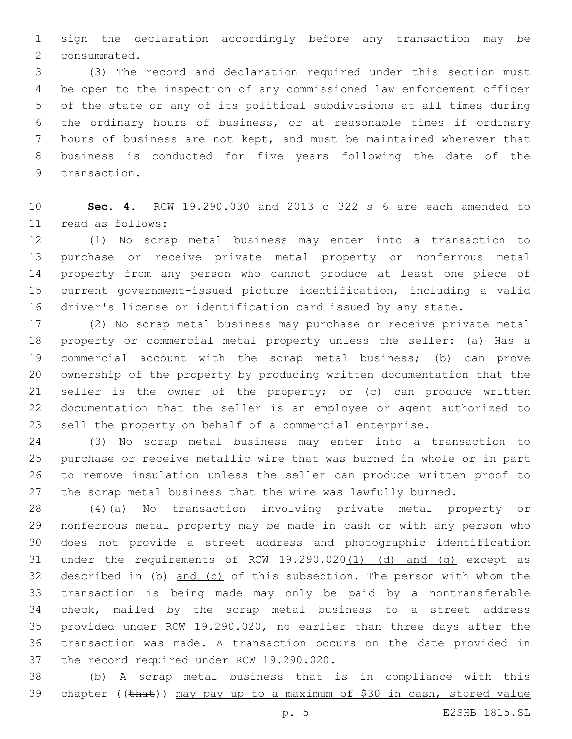sign the declaration accordingly before any transaction may be 2 consummated.

 (3) The record and declaration required under this section must be open to the inspection of any commissioned law enforcement officer of the state or any of its political subdivisions at all times during the ordinary hours of business, or at reasonable times if ordinary hours of business are not kept, and must be maintained wherever that business is conducted for five years following the date of the 9 transaction.

 **Sec. 4.** RCW 19.290.030 and 2013 c 322 s 6 are each amended to read as follows:11

 (1) No scrap metal business may enter into a transaction to purchase or receive private metal property or nonferrous metal property from any person who cannot produce at least one piece of current government-issued picture identification, including a valid driver's license or identification card issued by any state.

 (2) No scrap metal business may purchase or receive private metal property or commercial metal property unless the seller: (a) Has a commercial account with the scrap metal business; (b) can prove ownership of the property by producing written documentation that the seller is the owner of the property; or (c) can produce written documentation that the seller is an employee or agent authorized to sell the property on behalf of a commercial enterprise.

 (3) No scrap metal business may enter into a transaction to purchase or receive metallic wire that was burned in whole or in part to remove insulation unless the seller can produce written proof to the scrap metal business that the wire was lawfully burned.

 (4)(a) No transaction involving private metal property or nonferrous metal property may be made in cash or with any person who does not provide a street address and photographic identification 31 under the requirements of RCW 19.290.020(1) (d) and (g) except as described in (b) and (c) of this subsection. The person with whom the transaction is being made may only be paid by a nontransferable check, mailed by the scrap metal business to a street address provided under RCW 19.290.020, no earlier than three days after the transaction was made. A transaction occurs on the date provided in 37 the record required under RCW 19.290.020.

 (b) A scrap metal business that is in compliance with this 39 chapter ((that)) may pay up to a maximum of \$30 in cash, stored value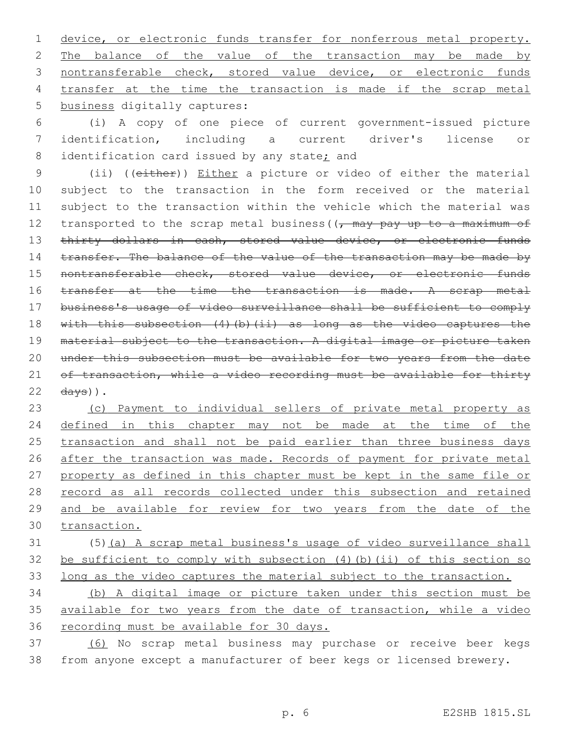1 device, or electronic funds transfer for nonferrous metal property. 2 The balance of the value of the transaction may be made by 3 nontransferable check, stored value device, or electronic funds 4 transfer at the time the transaction is made if the scrap metal 5 business digitally captures:

6 (i) A copy of one piece of current government-issued picture 7 identification, including a current driver's license or 8 identification card issued by any state; and

9 (ii) ((either)) Either a picture or video of either the material 10 subject to the transaction in the form received or the material 11 subject to the transaction within the vehicle which the material was 12 transported to the scrap metal business ( $\sqrt{r}$  may pay up to a maximum of 13 thirty dollars in cash, stored value device, or electronic funds 14 transfer. The balance of the value of the transaction may be made by 15 nontransferable check, stored value device, or electronic funds 16 transfer at the time the transaction is made. A scrap metal 17 business's usage of video surveillance shall be sufficient to comply 18 with this subsection (4)(b)(ii) as long as the video captures the 19 material subject to the transaction. A digital image or picture taken 20 under this subsection must be available for two years from the date 21 of transaction, while a video recording must be available for thirty  $22 \frac{days}{)$ .

23 (c) Payment to individual sellers of private metal property as 24 defined in this chapter may not be made at the time of the 25 transaction and shall not be paid earlier than three business days 26 after the transaction was made. Records of payment for private metal 27 property as defined in this chapter must be kept in the same file or 28 record as all records collected under this subsection and retained 29 and be available for review for two years from the date of the 30 transaction.

31 (5)(a) A scrap metal business's usage of video surveillance shall 32 be sufficient to comply with subsection (4)(b)(ii) of this section so 33 long as the video captures the material subject to the transaction.

34 (b) A digital image or picture taken under this section must be 35 available for two years from the date of transaction, while a video 36 recording must be available for 30 days.

37 (6) No scrap metal business may purchase or receive beer kegs 38 from anyone except a manufacturer of beer kegs or licensed brewery.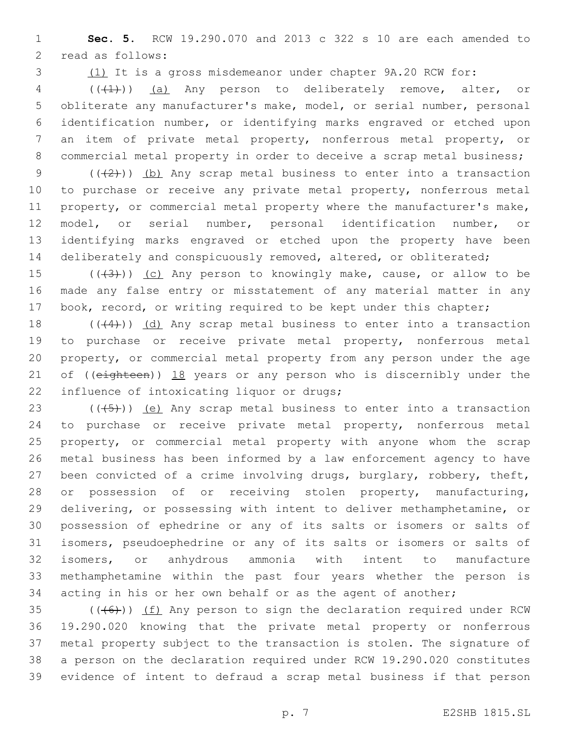**Sec. 5.** RCW 19.290.070 and 2013 c 322 s 10 are each amended to 2 read as follows:

(1) It is a gross misdemeanor under chapter 9A.20 RCW for:

 (((1))) (a) Any person to deliberately remove, alter, or obliterate any manufacturer's make, model, or serial number, personal identification number, or identifying marks engraved or etched upon an item of private metal property, nonferrous metal property, or commercial metal property in order to deceive a scrap metal business;

 $((2))$   $(b)$  Any scrap metal business to enter into a transaction to purchase or receive any private metal property, nonferrous metal property, or commercial metal property where the manufacturer's make, model, or serial number, personal identification number, or identifying marks engraved or etched upon the property have been deliberately and conspicuously removed, altered, or obliterated;

15  $((+3+))$  (c) Any person to knowingly make, cause, or allow to be made any false entry or misstatement of any material matter in any 17 book, record, or writing required to be kept under this chapter;

18  $((44))$   $(d)$  Any scrap metal business to enter into a transaction to purchase or receive private metal property, nonferrous metal property, or commercial metal property from any person under the age 21 of ((eighteen)) 18 years or any person who is discernibly under the 22 influence of intoxicating liquor or drugs;

 $((+5+))$  (e) Any scrap metal business to enter into a transaction to purchase or receive private metal property, nonferrous metal property, or commercial metal property with anyone whom the scrap metal business has been informed by a law enforcement agency to have been convicted of a crime involving drugs, burglary, robbery, theft, or possession of or receiving stolen property, manufacturing, delivering, or possessing with intent to deliver methamphetamine, or possession of ephedrine or any of its salts or isomers or salts of isomers, pseudoephedrine or any of its salts or isomers or salts of isomers, or anhydrous ammonia with intent to manufacture methamphetamine within the past four years whether the person is acting in his or her own behalf or as the agent of another;

 $((+6))$   $(f)$  Any person to sign the declaration required under RCW 19.290.020 knowing that the private metal property or nonferrous metal property subject to the transaction is stolen. The signature of a person on the declaration required under RCW 19.290.020 constitutes evidence of intent to defraud a scrap metal business if that person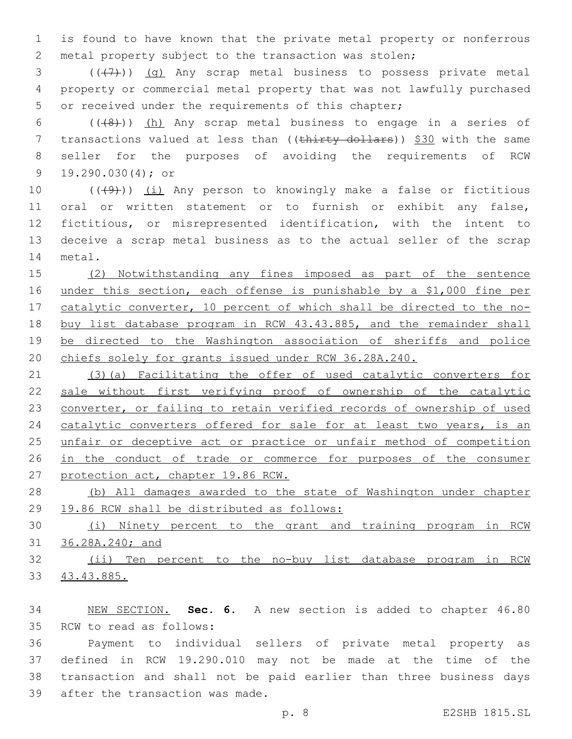is found to have known that the private metal property or nonferrous metal property subject to the transaction was stolen;

 ( $(\overline{+7})$ ) (g) Any scrap metal business to possess private metal property or commercial metal property that was not lawfully purchased or received under the requirements of this chapter;

6  $((+8))$  (h) Any scrap metal business to engage in a series of 7 transactions valued at less than ((thirty dollars)) \$30 with the same seller for the purposes of avoiding the requirements of RCW 9 19.290.030(4); or

 $((+9+))$  (i) Any person to knowingly make a false or fictitious oral or written statement or to furnish or exhibit any false, fictitious, or misrepresented identification, with the intent to deceive a scrap metal business as to the actual seller of the scrap 14 metal.

 (2) Notwithstanding any fines imposed as part of the sentence 16 under this section, each offense is punishable by a \$1,000 fine per catalytic converter, 10 percent of which shall be directed to the no- buy list database program in RCW 43.43.885, and the remainder shall be directed to the Washington association of sheriffs and police chiefs solely for grants issued under RCW 36.28A.240.

 (3)(a) Facilitating the offer of used catalytic converters for sale without first verifying proof of ownership of the catalytic converter, or failing to retain verified records of ownership of used catalytic converters offered for sale for at least two years, is an unfair or deceptive act or practice or unfair method of competition 26 in the conduct of trade or commerce for purposes of the consumer protection act, chapter 19.86 RCW.

 (b) All damages awarded to the state of Washington under chapter 19.86 RCW shall be distributed as follows:

 (i) Ninety percent to the grant and training program in RCW 36.28A.240; and

 (ii) Ten percent to the no-buy list database program in RCW 43.43.885.

 NEW SECTION. **Sec. 6.** A new section is added to chapter 46.80 35 RCW to read as follows:

 Payment to individual sellers of private metal property as defined in RCW 19.290.010 may not be made at the time of the transaction and shall not be paid earlier than three business days 39 after the transaction was made.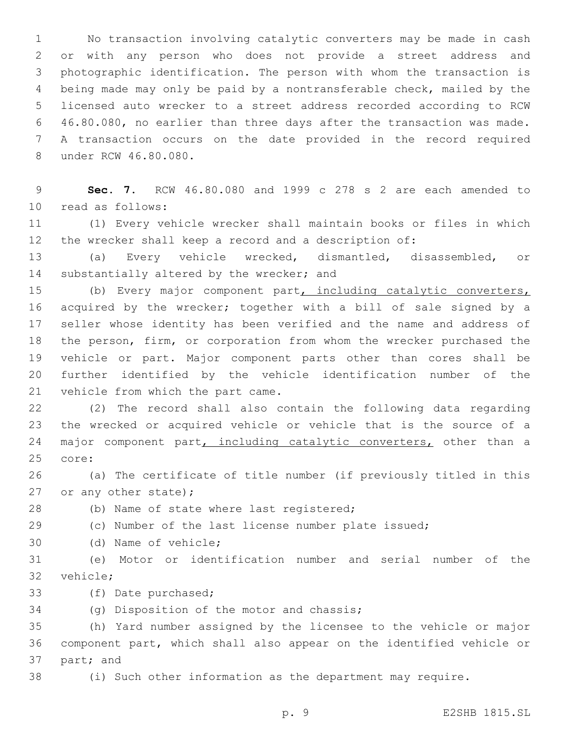No transaction involving catalytic converters may be made in cash or with any person who does not provide a street address and photographic identification. The person with whom the transaction is being made may only be paid by a nontransferable check, mailed by the licensed auto wrecker to a street address recorded according to RCW 46.80.080, no earlier than three days after the transaction was made. A transaction occurs on the date provided in the record required 8 under RCW 46.80.080.

 **Sec. 7.** RCW 46.80.080 and 1999 c 278 s 2 are each amended to 10 read as follows:

 (1) Every vehicle wrecker shall maintain books or files in which the wrecker shall keep a record and a description of:

 (a) Every vehicle wrecked, dismantled, disassembled, or 14 substantially altered by the wrecker; and

15 (b) Every major component part, including catalytic converters, acquired by the wrecker; together with a bill of sale signed by a seller whose identity has been verified and the name and address of the person, firm, or corporation from whom the wrecker purchased the vehicle or part. Major component parts other than cores shall be further identified by the vehicle identification number of the 21 vehicle from which the part came.

 (2) The record shall also contain the following data regarding the wrecked or acquired vehicle or vehicle that is the source of a 24 major component part, including catalytic converters, other than a 25 core:

 (a) The certificate of title number (if previously titled in this 27 or any other state);

28 (b) Name of state where last registered;

(c) Number of the last license number plate issued;

30 (d) Name of vehicle;

 (e) Motor or identification number and serial number of the 32 vehicle;

33 (f) Date purchased;

34 (g) Disposition of the motor and chassis;

 (h) Yard number assigned by the licensee to the vehicle or major component part, which shall also appear on the identified vehicle or 37 part; and

(i) Such other information as the department may require.

p. 9 E2SHB 1815.SL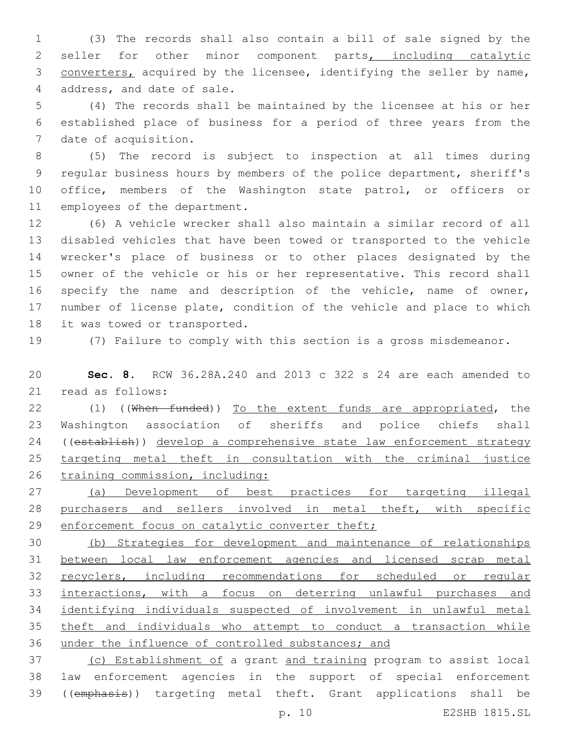(3) The records shall also contain a bill of sale signed by the 2 seller for other minor component parts, including catalytic converters, acquired by the licensee, identifying the seller by name, 4 address, and date of sale.

 (4) The records shall be maintained by the licensee at his or her established place of business for a period of three years from the 7 date of acquisition.

 (5) The record is subject to inspection at all times during regular business hours by members of the police department, sheriff's office, members of the Washington state patrol, or officers or 11 employees of the department.

 (6) A vehicle wrecker shall also maintain a similar record of all disabled vehicles that have been towed or transported to the vehicle wrecker's place of business or to other places designated by the owner of the vehicle or his or her representative. This record shall specify the name and description of the vehicle, name of owner, number of license plate, condition of the vehicle and place to which 18 it was towed or transported.

(7) Failure to comply with this section is a gross misdemeanor.

 **Sec. 8.** RCW 36.28A.240 and 2013 c 322 s 24 are each amended to 21 read as follows:

22 (1) ((When funded)) To the extent funds are appropriated, the Washington association of sheriffs and police chiefs shall 24 ((establish)) develop a comprehensive state law enforcement strategy targeting metal theft in consultation with the criminal justice training commission, including:

 (a) Development of best practices for targeting illegal purchasers and sellers involved in metal theft, with specific 29 enforcement focus on catalytic converter theft;

 (b) Strategies for development and maintenance of relationships between local law enforcement agencies and licensed scrap metal 32 recyclers, including recommendations for scheduled or regular interactions, with a focus on deterring unlawful purchases and identifying individuals suspected of involvement in unlawful metal theft and individuals who attempt to conduct a transaction while under the influence of controlled substances; and

 (c) Establishment of a grant and training program to assist local law enforcement agencies in the support of special enforcement ((emphasis)) targeting metal theft. Grant applications shall be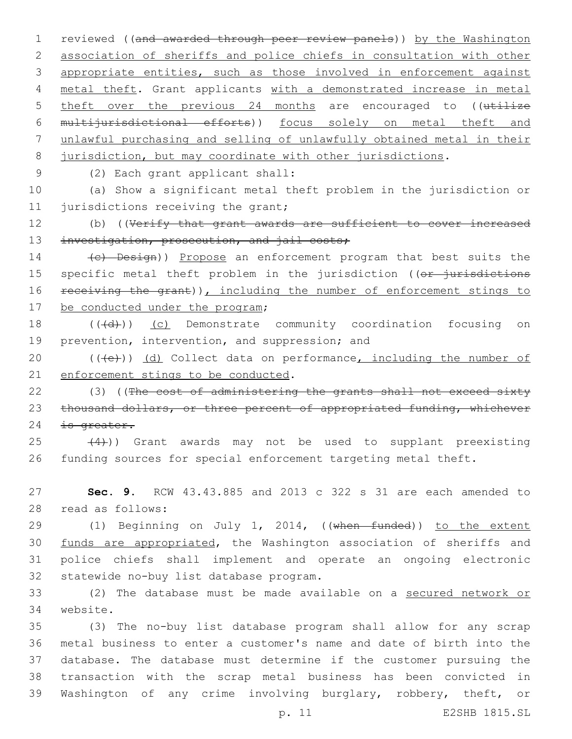1 reviewed ((and awarded through peer review panels)) by the Washington 2 association of sheriffs and police chiefs in consultation with other 3 appropriate entities, such as those involved in enforcement against 4 metal theft. Grant applicants with a demonstrated increase in metal 5 theft over the previous 24 months are encouraged to ((utilize 6 multijurisdictional efforts)) focus solely on metal theft and 7 unlawful purchasing and selling of unlawfully obtained metal in their 8 jurisdiction, but may coordinate with other jurisdictions.

(2) Each grant applicant shall:9

10 (a) Show a significant metal theft problem in the jurisdiction or 11 jurisdictions receiving the grant;

12 (b) ((Verify that grant awards are sufficient to cover increased 13 investigation, prosecution, and jail costs;

14 (c) Design)) Propose an enforcement program that best suits the 15 specific metal theft problem in the jurisdiction ((or jurisdictions 16 receiving the grant)), including the number of enforcement stings to 17 be conducted under the program;

18 (((d)) (c) Demonstrate community coordination focusing on 19 prevention, intervention, and suppression; and

20  $((+e))$   $(d)$  Collect data on performance, including the number of 21 enforcement stings to be conducted.

22 (3) ((The cost of administering the grants shall not exceed sixty 23 thousand dollars, or three percent of appropriated funding, whichever 24 is greater.

 $(4)$ )) Grant awards may not be used to supplant preexisting 26 funding sources for special enforcement targeting metal theft.

27 **Sec. 9.** RCW 43.43.885 and 2013 c 322 s 31 are each amended to 28 read as follows:

29 (1) Beginning on July 1, 2014, ((when funded)) to the extent 30 funds are appropriated, the Washington association of sheriffs and 31 police chiefs shall implement and operate an ongoing electronic 32 statewide no-buy list database program.

33 (2) The database must be made available on a secured network or 34 website.

 (3) The no-buy list database program shall allow for any scrap metal business to enter a customer's name and date of birth into the database. The database must determine if the customer pursuing the transaction with the scrap metal business has been convicted in Washington of any crime involving burglary, robbery, theft, or

p. 11 E2SHB 1815.SL